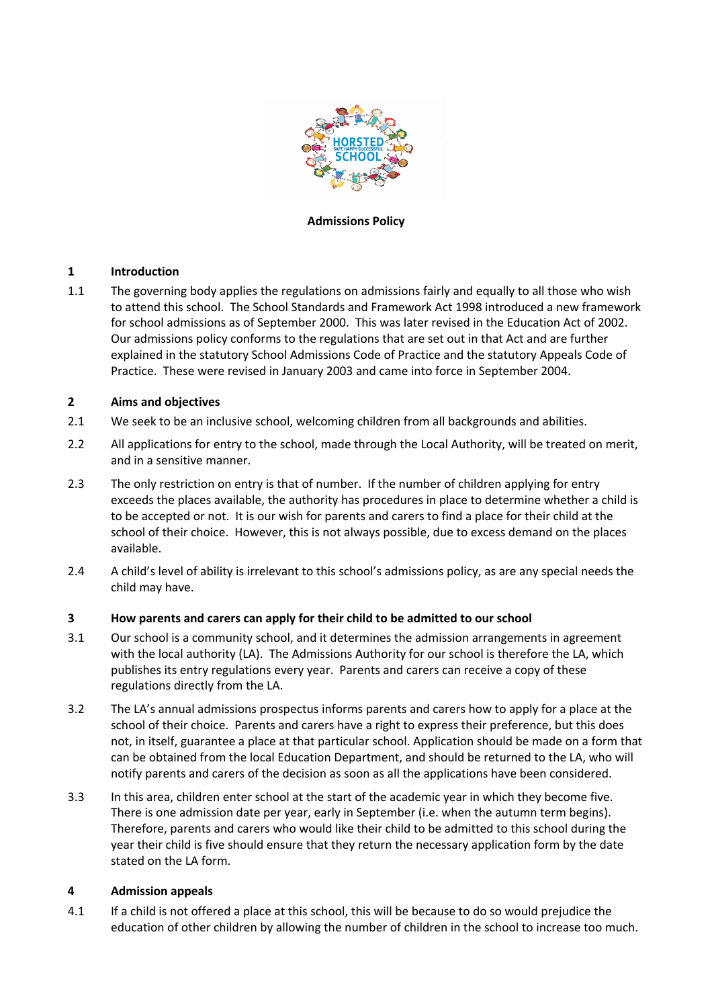

### **Admissions Policy**

### **1 Introduction**

1.1 The governing body applies the regulations on admissions fairly and equally to all those who wish to attend this school. The School Standards and Framework Act 1998 introduced a new framework for school admissions as of September 2000. This was later revised in the Education Act of 2002. Our admissions policy conforms to the regulations that are set out in that Act and are further explained in the statutory School Admissions Code of Practice and the statutory Appeals Code of Practice. These were revised in January 2003 and came into force in September 2004.

### **2 Aims and objectives**

- 2.1 We seek to be an inclusive school, welcoming children from all backgrounds and abilities.
- 2.2 All applications for entry to the school, made through the Local Authority, will be treated on merit, and in a sensitive manner.
- 2.3 The only restriction on entry is that of number. If the number of children applying for entry exceeds the places available, the authority has procedures in place to determine whether a child is to be accepted or not. It is our wish for parents and carers to find a place for their child at the school of their choice. However, this is not always possible, due to excess demand on the places available.
- 2.4 A child's level of ability is irrelevant to this school's admissions policy, as are any special needs the child may have.

# **3 How parents and carers can apply for their child to be admitted to our school**

- 3.1 Our school is a community school, and it determines the admission arrangements in agreement with the local authority (LA). The Admissions Authority for our school is therefore the LA, which publishes its entry regulations every year. Parents and carers can receive a copy of these regulations directly from the LA.
- 3.2 The LA's annual admissions prospectus informs parents and carers how to apply for a place at the school of their choice. Parents and carers have a right to express their preference, but this does not, in itself, guarantee a place at that particular school. Application should be made on a form that can be obtained from the local Education Department, and should be returned to the LA, who will notify parents and carers of the decision as soon as all the applications have been considered.
- 3.3 In this area, children enter school at the start of the academic year in which they become five. There is one admission date per year, early in September (i.e. when the autumn term begins). Therefore, parents and carers who would like their child to be admitted to this school during the year their child is five should ensure that they return the necessary application form by the date stated on the LA form.

# **4 Admission appeals**

4.1 If a child is not offered a place at this school, this will be because to do so would prejudice the education of other children by allowing the number of children in the school to increase too much.